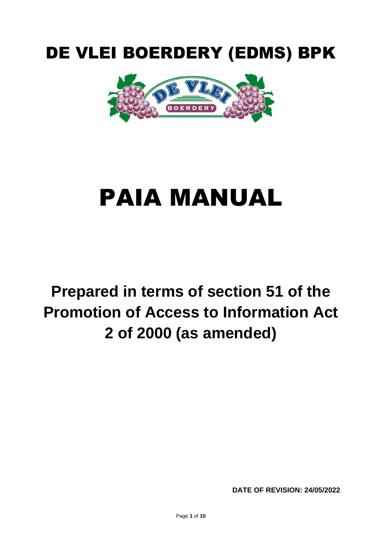# DE VLEI BOERDERY (EDMS) BPK



# PAIA MANUAL

# **Prepared in terms of section 51 of the Promotion of Access to Information Act 2 of 2000 (as amended)**

**DATE OF REVISION: 24/05/2022**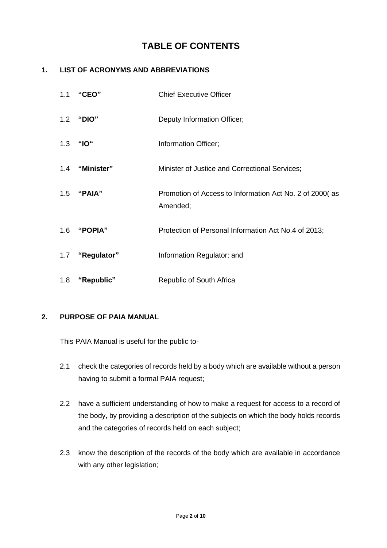# **TABLE OF CONTENTS**

#### **1. LIST OF ACRONYMS AND ABBREVIATIONS**

| 1.1 | "CEO"           | <b>Chief Executive Officer</b>                                      |
|-----|-----------------|---------------------------------------------------------------------|
|     | 1.2 "DIO"       | Deputy Information Officer;                                         |
|     | 1.3 "IO"        | Information Officer;                                                |
|     | 1.4 "Minister"  | Minister of Justice and Correctional Services;                      |
|     | 1.5 "PAIA"      | Promotion of Access to Information Act No. 2 of 2000(as<br>Amended; |
|     | 1.6 "POPIA"     | Protection of Personal Information Act No.4 of 2013;                |
|     | 1.7 "Regulator" | Information Regulator; and                                          |
| 1.8 | "Republic"      | Republic of South Africa                                            |

#### **2. PURPOSE OF PAIA MANUAL**

This PAIA Manual is useful for the public to-

- 2.1 check the categories of records held by a body which are available without a person having to submit a formal PAIA request;
- 2.2 have a sufficient understanding of how to make a request for access to a record of the body, by providing a description of the subjects on which the body holds records and the categories of records held on each subject;
- 2.3 know the description of the records of the body which are available in accordance with any other legislation;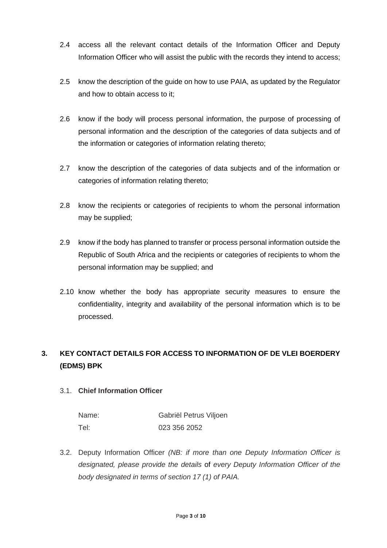- 2.4 access all the relevant contact details of the Information Officer and Deputy Information Officer who will assist the public with the records they intend to access;
- 2.5 know the description of the guide on how to use PAIA, as updated by the Regulator and how to obtain access to it;
- 2.6 know if the body will process personal information, the purpose of processing of personal information and the description of the categories of data subjects and of the information or categories of information relating thereto;
- 2.7 know the description of the categories of data subjects and of the information or categories of information relating thereto;
- 2.8 know the recipients or categories of recipients to whom the personal information may be supplied;
- 2.9 know if the body has planned to transfer or process personal information outside the Republic of South Africa and the recipients or categories of recipients to whom the personal information may be supplied; and
- 2.10 know whether the body has appropriate security measures to ensure the confidentiality, integrity and availability of the personal information which is to be processed.

## **3. KEY CONTACT DETAILS FOR ACCESS TO INFORMATION OF DE VLEI BOERDERY (EDMS) BPK**

#### 3.1. **Chief Information Officer**

| Name: | Gabriël Petrus Viljoen |
|-------|------------------------|
| Tel:  | 023 356 2052           |

3.2. Deputy Information Officer *(NB: if more than one Deputy Information Officer is designated, please provide the details* of *every Deputy Information Officer of the body designated in terms of section 17 (1) of PAIA.*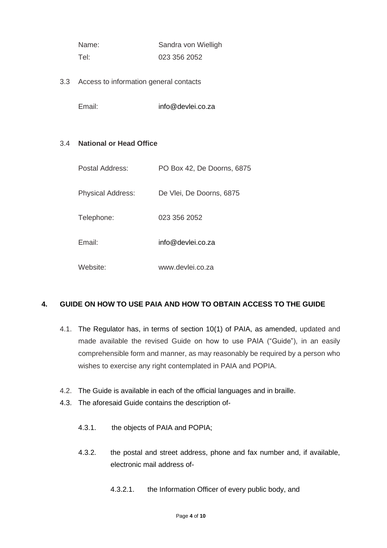| Name: | Sandra von Wielligh |
|-------|---------------------|
| Tel:  | 023 356 2052        |

3.3 Access to information general contacts

Email: info@devlei.co.za

#### 3.4 **National or Head Office**

| Postal Address:          | PO Box 42, De Doorns, 6875 |
|--------------------------|----------------------------|
| <b>Physical Address:</b> | De Vlei, De Doorns, 6875   |
| Telephone:               | 023 356 2052               |
| Email:                   | info@devlei.co.za          |
| Website:                 | www.devlei.co.za           |

#### **4. GUIDE ON HOW TO USE PAIA AND HOW TO OBTAIN ACCESS TO THE GUIDE**

- 4.1. The Regulator has, in terms of section 10(1) of PAIA, as amended, updated and made available the revised Guide on how to use PAIA ("Guide"), in an easily comprehensible form and manner, as may reasonably be required by a person who wishes to exercise any right contemplated in PAIA and POPIA.
- 4.2. The Guide is available in each of the official languages and in braille.
- 4.3. The aforesaid Guide contains the description of-
	- 4.3.1. the objects of PAIA and POPIA;
	- 4.3.2. the postal and street address, phone and fax number and, if available, electronic mail address of-
		- 4.3.2.1. the Information Officer of every public body, and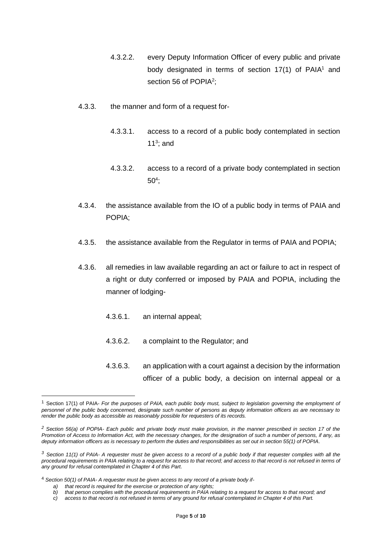- 4.3.2.2. every Deputy Information Officer of every public and private body designated in terms of section  $17(1)$  of PAIA<sup>1</sup> and section 56 of POPIA<sup>2</sup>;
- 4.3.3. the manner and form of a request for-
	- 4.3.3.1. access to a record of a public body contemplated in section 11 $3$ ; and
	- 4.3.3.2. access to a record of a private body contemplated in section  $50<sup>4</sup>$ ;
- 4.3.4. the assistance available from the IO of a public body in terms of PAIA and POPIA;
- 4.3.5. the assistance available from the Regulator in terms of PAIA and POPIA;
- 4.3.6. all remedies in law available regarding an act or failure to act in respect of a right or duty conferred or imposed by PAIA and POPIA, including the manner of lodging-
	- 4.3.6.1. an internal appeal;
	- 4.3.6.2. a complaint to the Regulator; and
	- 4.3.6.3. an application with a court against a decision by the information officer of a public body, a decision on internal appeal or a

<sup>1</sup> Section 17(1) of PAIA- *For the purposes of PAIA, each public body must, subject to legislation governing the employment of personnel of the public body concerned, designate such number of persons as deputy information officers as are necessary to render the public body as accessible as reasonably possible for requesters of its records.*

*<sup>2</sup> Section 56(a) of POPIA- Each public and private body must make provision, in the manner prescribed in section 17 of the Promotion of Access to Information Act, with the necessary changes, for the designation of such a number of persons, if any, as deputy information officers as is necessary to perform the duties and responsibilities as set out in section 55(1) of POPIA.*

*<sup>3</sup> Section 11(1) of PAIA- A requester must be given access to a record of a public body if that requester complies with all the procedural requirements in PAIA relating to a request for access to that record; and access to that record is not refused in terms of any ground for refusal contemplated in Chapter 4 of this Part.*

<sup>4</sup> *Section 50(1) of PAIA- A requester must be given access to any record of a private body if-*

*a) that record is required for the exercise or protection of any rights;*

*b) that person complies with the procedural requirements in PAIA relating to a request for access to that record; and*

*c) access to that record is not refused in terms of any ground for refusal contemplated in Chapter 4 of this Part.*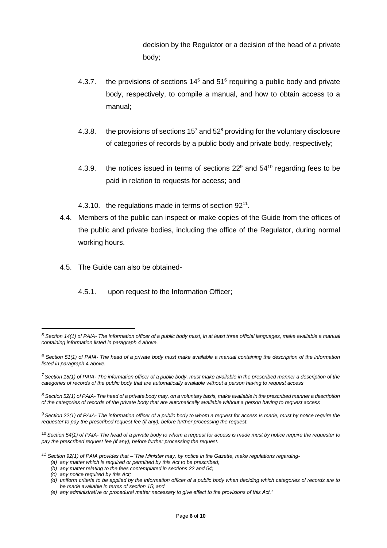decision by the Regulator or a decision of the head of a private body;

- 4.3.7. the provisions of sections  $14<sup>5</sup>$  and  $51<sup>6</sup>$  requiring a public body and private body, respectively, to compile a manual, and how to obtain access to a manual;
- 4.3.8. the provisions of sections  $15<sup>7</sup>$  and  $52<sup>8</sup>$  providing for the voluntary disclosure of categories of records by a public body and private body, respectively;
- 4.3.9. the notices issued in terms of sections  $22^9$  and  $54^{10}$  regarding fees to be paid in relation to requests for access; and
- 4.3.10. the regulations made in terms of section 92<sup>11</sup>.
- 4.4. Members of the public can inspect or make copies of the Guide from the offices of the public and private bodies, including the office of the Regulator, during normal working hours.
- 4.5. The Guide can also be obtained-
	- 4.5.1. upon request to the Information Officer;

*<sup>5</sup> Section 14(1) of PAIA- The information officer of a public body must, in at least three official languages, make available a manual containing information listed in paragraph 4 above.*

*<sup>6</sup> Section 51(1) of PAIA- The head of a private body must make available a manual containing the description of the information listed in paragraph 4 above.*

*<sup>7</sup>Section 15(1) of PAIA- The information officer of a public body, must make available in the prescribed manner a description of the categories of records of the public body that are automatically available without a person having to request access*

*<sup>8</sup> Section 52(1) of PAIA- The head of a private body may, on a voluntary basis, make available in the prescribed manner a description of the categories of records of the private body that are automatically available without a person having to request access*

*<sup>9</sup> Section 22(1) of PAIA- The information officer of a public body to whom a request for access is made, must by notice require the requester to pay the prescribed request fee (if any), before further processing the request.*

<sup>10</sup> *Section 54(1) of PAIA- The head of a private body to whom a request for access is made must by notice require the requester to pay the prescribed request fee (if any), before further processing the request.*

*<sup>11</sup> Section 92(1) of PAIA provides that –"The Minister may, by notice in the Gazette, make regulations regarding-*

*<sup>(</sup>a) any matter which is required or permitted by this Act to be prescribed;*

*<sup>(</sup>b) any matter relating to the fees contemplated in sections 22 and 54;*

*<sup>(</sup>c) any notice required by this Act;*

*<sup>(</sup>d) uniform criteria to be applied by the information officer of a public body when deciding which categories of records are to be made available in terms of section 15; and*

*<sup>(</sup>e) any administrative or procedural matter necessary to give effect to the provisions of this Act."*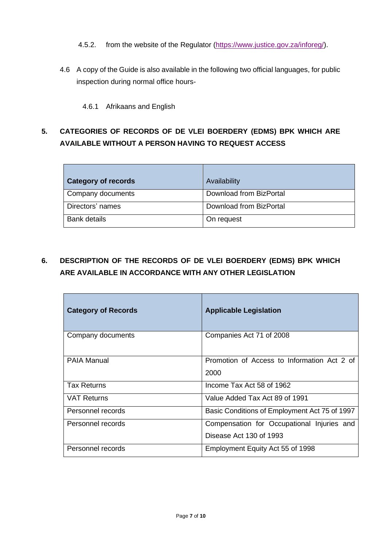- 4.5.2. from the website of the Regulator [\(https://www.justice.gov.za/inforeg/\)](https://www.justice.gov.za/inforeg/).
- 4.6 A copy of the Guide is also available in the following two official languages, for public inspection during normal office hours-

4.6.1 Afrikaans and English

## **5. CATEGORIES OF RECORDS OF DE VLEI BOERDERY (EDMS) BPK WHICH ARE AVAILABLE WITHOUT A PERSON HAVING TO REQUEST ACCESS**

| <b>Category of records</b> | Availability            |
|----------------------------|-------------------------|
| Company documents          | Download from BizPortal |
| Directors' names           | Download from BizPortal |
| <b>Bank details</b>        | On request              |

# **6. DESCRIPTION OF THE RECORDS OF DE VLEI BOERDERY (EDMS) BPK WHICH ARE AVAILABLE IN ACCORDANCE WITH ANY OTHER LEGISLATION**

| <b>Category of Records</b> | <b>Applicable Legislation</b>                                         |
|----------------------------|-----------------------------------------------------------------------|
| Company documents          | Companies Act 71 of 2008                                              |
| <b>PAIA Manual</b>         | Promotion of Access to Information Act 2 of<br>2000                   |
| <b>Tax Returns</b>         | Income Tax Act 58 of 1962                                             |
| <b>VAT Returns</b>         | Value Added Tax Act 89 of 1991                                        |
| Personnel records          | Basic Conditions of Employment Act 75 of 1997                         |
| Personnel records          | Compensation for Occupational Injuries and<br>Disease Act 130 of 1993 |
| Personnel records          | Employment Equity Act 55 of 1998                                      |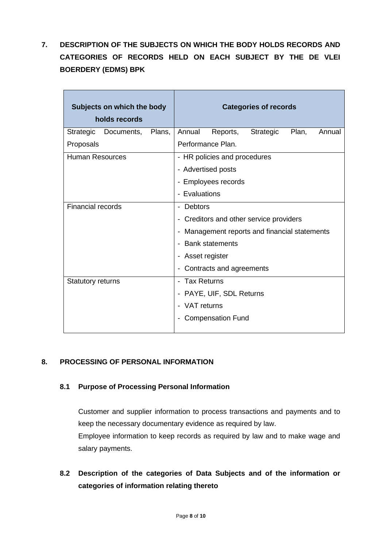**7. DESCRIPTION OF THE SUBJECTS ON WHICH THE BODY HOLDS RECORDS AND CATEGORIES OF RECORDS HELD ON EACH SUBJECT BY THE DE VLEI BOERDERY (EDMS) BPK**

| Subjects on which the body<br>holds records |                   |                          | <b>Categories of records</b>                |                          |           |       |        |
|---------------------------------------------|-------------------|--------------------------|---------------------------------------------|--------------------------|-----------|-------|--------|
| Strategic                                   | Documents, Plans, |                          | Annual                                      | Reports,                 | Strategic | Plan, | Annual |
| Proposals                                   |                   |                          |                                             | Performance Plan.        |           |       |        |
| <b>Human Resources</b>                      |                   |                          | - HR policies and procedures                |                          |           |       |        |
|                                             |                   |                          | - Advertised posts                          |                          |           |       |        |
|                                             |                   |                          |                                             | - Employees records      |           |       |        |
|                                             |                   |                          | - Evaluations                               |                          |           |       |        |
| Financial records                           |                   |                          | - Debtors                                   |                          |           |       |        |
|                                             |                   |                          | - Creditors and other service providers     |                          |           |       |        |
|                                             |                   |                          | Management reports and financial statements |                          |           |       |        |
|                                             |                   |                          |                                             | <b>Bank statements</b>   |           |       |        |
|                                             |                   |                          | Asset register                              |                          |           |       |        |
|                                             |                   | Contracts and agreements |                                             |                          |           |       |        |
| <b>Statutory returns</b>                    |                   |                          | - Tax Returns                               |                          |           |       |        |
|                                             |                   |                          |                                             | - PAYE, UIF, SDL Returns |           |       |        |
|                                             |                   |                          | VAT returns                                 |                          |           |       |        |
|                                             |                   |                          |                                             | <b>Compensation Fund</b> |           |       |        |
|                                             |                   |                          |                                             |                          |           |       |        |

#### **8. PROCESSING OF PERSONAL INFORMATION**

#### **8.1 Purpose of Processing Personal Information**

Customer and supplier information to process transactions and payments and to keep the necessary documentary evidence as required by law. Employee information to keep records as required by law and to make wage and salary payments.

**8.2 Description of the categories of Data Subjects and of the information or categories of information relating thereto**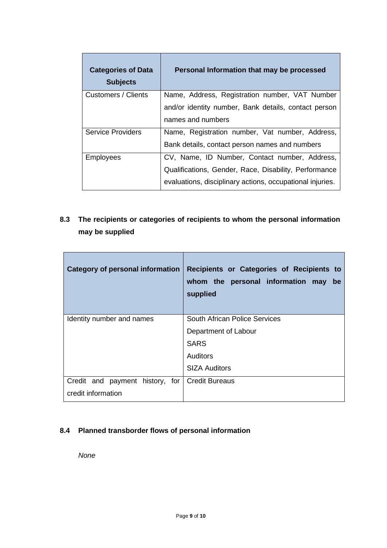| <b>Categories of Data</b><br><b>Subjects</b> | Personal Information that may be processed                                |
|----------------------------------------------|---------------------------------------------------------------------------|
| Customers / Clients                          | Name, Address, Registration number, VAT Number                            |
|                                              | and/or identity number, Bank details, contact person<br>names and numbers |
| <b>Service Providers</b>                     | Name, Registration number, Vat number, Address,                           |
|                                              | Bank details, contact person names and numbers                            |
| <b>Employees</b>                             | CV, Name, ID Number, Contact number, Address,                             |
|                                              | Qualifications, Gender, Race, Disability, Performance                     |
|                                              | evaluations, disciplinary actions, occupational injuries.                 |

**8.3 The recipients or categories of recipients to whom the personal information may be supplied**

| Category of personal information                 | Recipients or Categories of Recipients to<br>whom the personal information may<br>be<br>supplied |
|--------------------------------------------------|--------------------------------------------------------------------------------------------------|
| Identity number and names                        | South African Police Services                                                                    |
|                                                  | Department of Labour                                                                             |
|                                                  | <b>SARS</b>                                                                                      |
|                                                  | <b>Auditors</b>                                                                                  |
|                                                  | <b>SIZA Auditors</b>                                                                             |
| Credit and payment history, for   Credit Bureaus |                                                                                                  |
| credit information                               |                                                                                                  |

#### **8.4 Planned transborder flows of personal information**

*None*